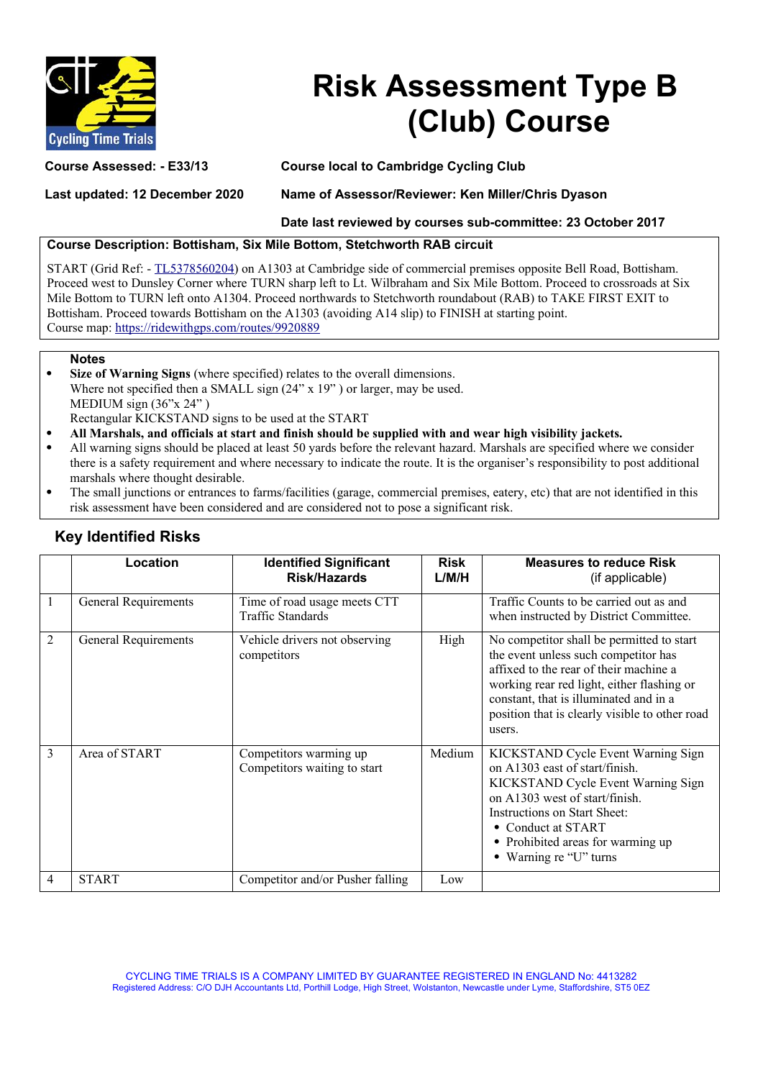

## **Risk Assessment Type B (Club) Course**

**Course Assessed: - E33/13 Course local to Cambridge Cycling Club**

**Last updated: 12 December 2020 Name of Assessor/Reviewer: Ken Miller/Chris Dyason**

**Date last reviewed by courses sub-committee: 23 October 2017**

## **Course Description: Bottisham, Six Mile Bottom, Stetchworth RAB circuit**

START (Grid Ref: - [TL5378560204\)](https://gridreferencefinder.com/) on A1303 at Cambridge side of commercial premises opposite Bell Road, Bottisham. Proceed west to Dunsley Corner where TURN sharp left to Lt. Wilbraham and Six Mile Bottom. Proceed to crossroads at Six Mile Bottom to TURN left onto A1304. Proceed northwards to Stetchworth roundabout (RAB) to TAKE FIRST EXIT to Bottisham. Proceed towards Bottisham on the A1303 (avoiding A14 slip) to FINISH at starting point. Course map:<https://ridewithgps.com/routes/9920889>

## **Notes**

 **Size of Warning Signs** (where specified) relates to the overall dimensions. Where not specified then a SMALL sign  $(24" \times 19")$  or larger, may be used. MEDIUM sign (36"x 24") Rectangular KICKSTAND signs to be used at the START

- **All Marshals, and officials at start and finish should be supplied with and wear high visibility jackets.**
- All warning signs should be placed at least 50 yards before the relevant hazard. Marshals are specified where we consider there is a safety requirement and where necessary to indicate the route. It is the organiser's responsibility to post additional marshals where thought desirable.
- The small junctions or entrances to farms/facilities (garage, commercial premises, eatery, etc) that are not identified in this risk assessment have been considered and are considered not to pose a significant risk.

|                | Location             | <b>Identified Significant</b><br><b>Risk/Hazards</b>   | <b>Risk</b><br>L/M/H | <b>Measures to reduce Risk</b><br>(if applicable)                                                                                                                                                                                                                               |
|----------------|----------------------|--------------------------------------------------------|----------------------|---------------------------------------------------------------------------------------------------------------------------------------------------------------------------------------------------------------------------------------------------------------------------------|
| $\mathbf{1}$   | General Requirements | Time of road usage meets CTT<br>Traffic Standards      |                      | Traffic Counts to be carried out as and<br>when instructed by District Committee.                                                                                                                                                                                               |
| $\overline{2}$ | General Requirements | Vehicle drivers not observing<br>competitors           | High                 | No competitor shall be permitted to start<br>the event unless such competitor has<br>affixed to the rear of their machine a<br>working rear red light, either flashing or<br>constant, that is illuminated and in a<br>position that is clearly visible to other road<br>users. |
| 3              | Area of START        | Competitors warming up<br>Competitors waiting to start | Medium               | KICKSTAND Cycle Event Warning Sign<br>on A1303 east of start/finish.<br>KICKSTAND Cycle Event Warning Sign<br>on A1303 west of start/finish.<br>Instructions on Start Sheet:<br>• Conduct at START<br>• Prohibited areas for warming up<br>• Warning re "U" turns               |
| $\overline{4}$ | <b>START</b>         | Competitor and/or Pusher falling                       | Low                  |                                                                                                                                                                                                                                                                                 |

## **Key Identified Risks**